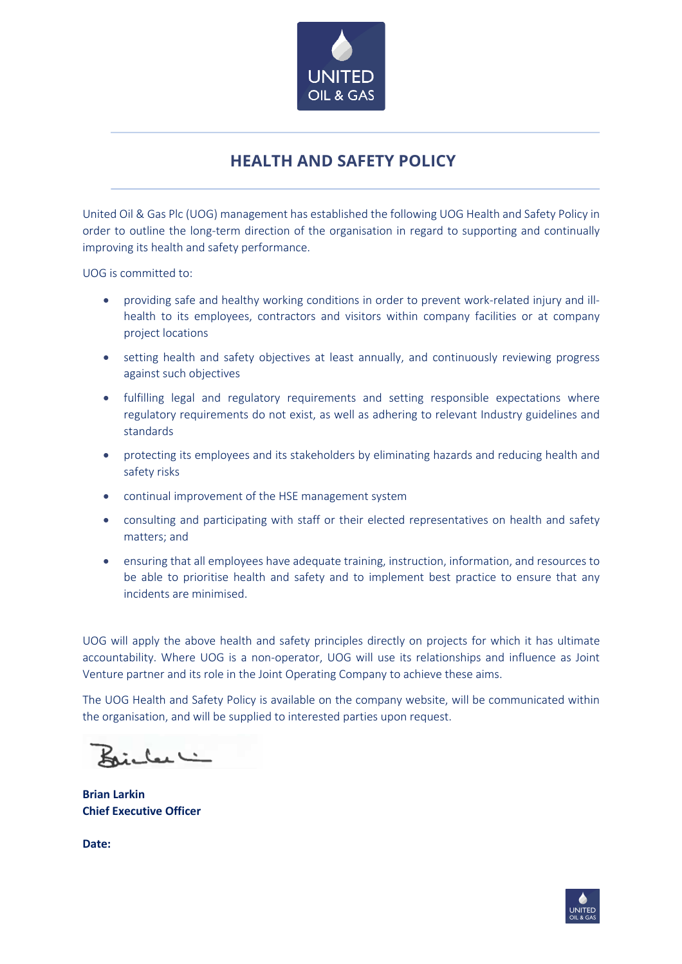

## **HEALTH AND SAFETY POLICY**

United Oil & Gas Plc (UOG) management has established the following UOG Health and Safety Policy in order to outline the long-term direction of the organisation in regard to supporting and continually improving its health and safety performance.

UOG is committed to:

- providing safe and healthy working conditions in order to prevent work-related injury and illhealth to its employees, contractors and visitors within company facilities or at company project locations
- setting health and safety objectives at least annually, and continuously reviewing progress against such objectives
- fulfilling legal and regulatory requirements and setting responsible expectations where regulatory requirements do not exist, as well as adhering to relevant Industry guidelines and standards
- protecting its employees and its stakeholders by eliminating hazards and reducing health and safety risks
- continual improvement of the HSE management system
- consulting and participating with staff or their elected representatives on health and safety matters; and
- ensuring that all employees have adequate training, instruction, information, and resources to be able to prioritise health and safety and to implement best practice to ensure that any incidents are minimised.

UOG will apply the above health and safety principles directly on projects for which it has ultimate accountability. Where UOG is a non-operator, UOG will use its relationships and influence as Joint Venture partner and its role in the Joint Operating Company to achieve these aims.

The UOG Health and Safety Policy is available on the company website, will be communicated within the organisation, and will be supplied to interested parties upon request.

تناكفدات

**Brian Larkin Chief Executive Officer**

**Date:**